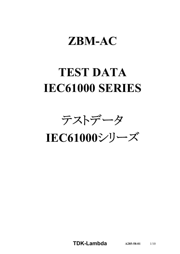# **ZBM-AC**

# **TEST DATA IEC61000 SERIES**

テストデータ

**IEC61000**シリーズ

**TDK-Lambda**  $A285-58-01$   $1/10$ 

**A285-58-01**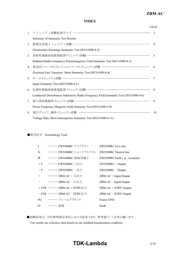# *RWS 50B-600B Series* **ZBM-AC**

## **INDEX**

|    |                                                                                      | <b>PAGE</b>              |
|----|--------------------------------------------------------------------------------------|--------------------------|
|    | 1. イミュニティ試験結果サマリ ………………………………………………………                                               | $\mathcal{R}$            |
|    | Summary of Immunity Test Results                                                     |                          |
| 2. | 静電気放電イミュニティ試験 ……………………………………………………… 4                                                |                          |
|    | Electrostatic Discharge Immunity Test (IEC61000-4-2)                                 |                          |
| 3. | 放射性無線周波数電磁界イミュニティ試験 ………………………………………………                                               | $\overline{\mathcal{L}}$ |
|    | Radiated Radio-Frequency Electromagnetic Field Immunity Test (IEC61000-4-3)          |                          |
| 4. |                                                                                      | 6                        |
|    | Electrical Fast Transient / Burst Immunity Test (IEC61000-4-4)                       |                          |
|    | 5. サージイミュニティ試験 ……………………………………………………………                                               | 7                        |
|    | Surge Immunity Test (IEC61000-4-5)                                                   |                          |
| 6. | 伝導性無線周波数電磁界イミュニティ試験 ………………………………………………                                               | $\mathbf{R}$             |
|    | Conducted Disturbances Induced by Radio-Frequency Field Immunity Test (IEC61000-4-6) |                          |
| 7. | 電力周波数磁界イミュニティ試験 ………………………………………………………                                                | 9                        |
|    | Power Frequency Magnetic Field Immunity Test (IEC61000-4-8)                          |                          |
| 8. | 電圧ディップ、瞬停イミュニティ試験 ……………………………………………………                                               | 10                       |
|    | Voltage Dips, Short Interruptions Immunity Test (IEC61000-4-11)                      |                          |

## ■使用記号 Terminology Used

| L                | ・・・・・・・ ZWS300RC ライブライン      | ZWS300RC Live line                  |
|------------------|------------------------------|-------------------------------------|
| N                | ・・・・・・・ ZWS300RC ニュートラルライン   | ZWS300RC Neutral line               |
| $\pm$            | ・・・・・・ ZWS300RC 接地用端子        | ZWS300RC Earth $($ $=$ $)$ terminal |
| $+V$             | …… ZWS300RC + 出力             | $ZWS300RC + Output$                 |
| $-V$             | ・・・・・・・ ZWS300RC - 出力        | ZWS300RC - Output                   |
| $+$              | ・・・・・・・ ZBM-AC + 入出力         | $ZBM$ -AC + Input/Output            |
|                  | …… ZBM-AC - 入出力              | $ZBM$ -AC - Input/Output            |
|                  | $+$ STB …… ZBM-AC + STBY出力   | $ZBM-AC + STBY$ Output              |
|                  | ーSTB ・・・・・・・ ZBM-AC - STBY出力 | ZBM-AC - STBY Output                |
| FG               | ・・・・・・・ フレームグラウンド            | Frame GND                           |
| $\overline{\pi}$ | …… 接地                        | Earth                               |

■試験結果は、当社標準測定条件における結果であり、参考値としてお考え願います。 Test results are reference data based on our standard measurement condition.

# **TDK-Lambda**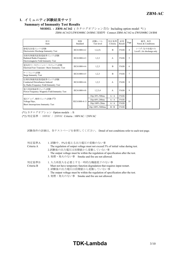# **1.** イミュニティ試験結果サマリ

## **Summary of Immunity Test Results**

**MODEL : ZBM-AC162** (カタログオプション含む Including option model \*1) ZBM-AC162をZWS300RC-24/BMに接続時 Connect ZBM-AC162 to ZWS300RC-24/BM

| 項目<br>Item                                                                                      | 規格<br>Standard | 試験レベル<br>Test level | 判定基準<br>Criteria | 結果<br>Result | Page           | 備考、条件<br>Notes & Conditions                       |
|-------------------------------------------------------------------------------------------------|----------------|---------------------|------------------|--------------|----------------|---------------------------------------------------|
| 静電気放電ペュニティ試験<br>Electrostatic Discharge Immunity Test                                           | IEC61000-4-2   | 1,2,(3)             | B                | <b>PASS</b>  | $\overline{4}$ | レベル3:気中放電のみ<br>Level $3 \cdot$ Air discharge only |
| 放射性無線周波数電磁界イミュニティ試験<br>Radiated Radio-Frequency<br>Electromagnetic Field Immunity Test          | IEC61000-4-3   | 1,2,3               | $\overline{A}$   | <b>PASS</b>  | 5              |                                                   |
| 電気的ファーストランジェントバーストイミュニティ試験<br>Electrical Fast Transient / Burst Immunity Test                   | IEC61000-4-4   | 1,2,3               | B                | <b>PASS</b>  | 6              |                                                   |
| サージイミュニティ試験<br>Surge Immunity Test                                                              | IEC61000-4-5   | 1,2,3               | B                | <b>PASS</b>  | $\overline{7}$ |                                                   |
| 伝導性無線周波数電磁界イミュニティ試験<br>Conducted Disturbances Induced<br>by Radio-Frequency Field Immunity Test | IEC61000-4-6   | 1,2,3               | $\overline{A}$   | <b>PASS</b>  | 8              |                                                   |
| 電力周波数磁界イミュニティ試験<br>Power Frequency Magnetic Field Immunity Test                                 | IEC61000-4-8   | 1,2,3,4             | A                | <b>PASS</b>  | 9              |                                                   |
|                                                                                                 |                | Dip:30% 500ms       | A/A              | <b>PASS</b>  |                |                                                   |
| 電圧ディップ、瞬停イミュニティ試験(*2)                                                                           | IEC61000-4-11  | Dip:60% 200ms       | A/A              | <b>PASS</b>  | 10             |                                                   |
| Voltage Dips,<br>Short Interruptions Immunity Test                                              |                | Dip:100% 20ms       | A/A              | <b>PASS</b>  |                |                                                   |
|                                                                                                 |                | Dip:100% 5000ms     | B/B              | <b>PASS</b>  |                |                                                   |

(\*1) カタログオプション Option models : /S

(\*2) 判定基準 : 100VAC / 230VAC Criteria : 100VAC / 230VAC

試験条件の詳細は、各テストページを参照してください。 Detail of test conditions refer to each test page.

| 判定基準A<br>Criteria A | 1.試験中、5%を超える出力電圧の変動のない事<br>The regulation of output voltage must not exceed 5% of initial value during test.<br>2.試験後の出力電圧は初期値から変動していない事<br>The output voltage must be within the regulation of specification after the test.<br>3. 発煙・発火のない事 Smoke and fire are not allowed. |
|---------------------|-------------------------------------------------------------------------------------------------------------------------------------------------------------------------------------------------------------------------------------------------------------------------------|
| 判定基準B<br>Criteria B | 1. 入力再投入を必要とする一時的な機能低下のない事<br>Must not have temporary function degradation that requires input restart.<br>2. 試験後の出力電圧は初期値から変動していない事<br>The output voltage must be within the regulation of specification after the test.                                                     |

3. 発煙・発火のない事 Smoke and fire are not allowed.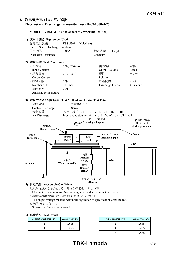# **2.** 静電気放電イミュニティ試験

#### **Electrostatic Discharge Immunity Test (IEC61000-4-2)**

**MODEL : ZBM-AC162/S (Connect to ZWS300RC-24/BM)**



### **(4)** 判定条件 **Acceptable Conditions**

- 1.入力再投入を必要とする一時的な機能低下のない事 Must not have temporary function degradation that requires input restart.
- 2.試験後の出力電圧は初期値から変動していない事
	- The output voltage must be within the regulation of specification after the test.
- 3.発煙・発火のない事

Smoke and fire are not allowed.

|  | (5) 試験結果 Test Result |  |  |
|--|----------------------|--|--|
|--|----------------------|--|--|

| Contact Discharge (kV) | $ZBM-ACl62/S$ |  |  |
|------------------------|---------------|--|--|
|                        | PA SS         |  |  |
|                        | PA SS         |  |  |

| ZBM-AC162/S | Air Discharge $(kV)$ | $ZBM-ACl62/S$ |
|-------------|----------------------|---------------|
| <b>PASS</b> |                      | <b>PASS</b>   |
| <b>PASS</b> |                      | <b>PASS</b>   |
|             |                      | PA SS         |

# **TDK-Lambda** 4/10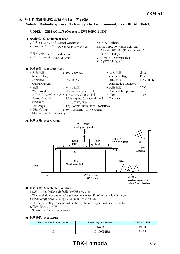# **3.** 放射性無線周波数電磁界イミュニティ試験

#### **Radiated Radio-Frequency Electromagnetic Field Immunity Test (IEC61000-4-3)**

**MODEL : ZBM-AC162/S (Connect to ZWS300RC-24/BM)**

| (1) | 使用計測器 Equipment Used              |                                    |
|-----|-----------------------------------|------------------------------------|
|     | シグナルジェネレータ Signal Generator       | : N5181A (Agilent)                 |
|     | パワーアンプシステム Power Amplifier System | : BBA150-BC500 (Rohde Schwarz)     |
|     |                                   | : BBA150-D110/E100 (Rohde Schwarz) |
|     | 電界センサ Electric Field Sensor       | $\therefore$ HI-6005 (Holaday)     |
|     | バイログアンテナ Bilog Antenna            | : VULP9118E (Schwarzbeck)          |
|     |                                   | $: 3117$ (ETS Lindgren)            |
|     |                                   |                                    |

## **(2)** 試験条件 **Test Conditions**

| • 入力電圧                    | $: 100, 230$ VAC                   | • 出力電圧              | : 定格            |
|---------------------------|------------------------------------|---------------------|-----------------|
| Input Voltage             |                                    | Output Voltage      | Rated           |
| • 出力電流                    | $: 0\%$ , 100%                     | • 振幅変調              | $: 80\%$ , 1kHz |
| Output Current            |                                    | Amplitude Modulated |                 |
| • 偏波                      | : 水平、垂直                            | • 周囲温度              | $: 25^{\circ}C$ |
| Wave Angle                | Horizontal and Vertical            | Ambient Temperature |                 |
|                           | • スイープ·コンディション: 1.0%ステップ、0.5秒保持    | • 距離                | : 3.0m          |
| Sweep Condition           | $1.0\%$ step up, 0.5 seconds hold  | Distance            |                 |
| • 試験方向                    | : 上下、左右、前後                         |                     |                 |
| Test Angle                | Top/Bottom, Both Sides, Front/Back |                     |                 |
| • 電磁界周波数                  | $: 80 - 1000 MHz$ , 1.4 - 6.0GHz   |                     |                 |
| Electromagnetic Frequency |                                    |                     |                 |

#### **(3)** 試験方法 **Test Method**



#### **(4)** 判定条件 **Acceptable Conditions**

- 1.試験中、5%を超える出力電圧の変動のない事 The regulation of output voltage must not exceed 5% of initial value during test. 2.試験後の出力電圧は初期値から変動していない事
- The output voltage must be within the regulation of specification after the test. 3.発煙・発火のない事
- Smoke and fire are not allowed.

#### **(5)** 試験結果 **Test Result**

| Radiation Field Strength $(V/m)$ | Electromagnetic Frequency | $ZBM-ACl62/S$ |
|----------------------------------|---------------------------|---------------|
|                                  | 1.4-6.0GHz                | <b>PASS</b>   |
|                                  | $80 - 1000 MHz$           | <b>PASS</b>   |

# **TDK-Lambda** 5/10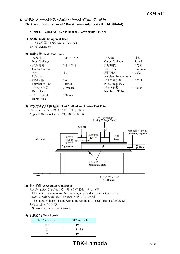# **4.** 電気的ファーストトランジェントバーストイミュニティ試験 **Electrical Fast Transient / Burst Immunity Test (IEC61000-4-4)**

**MODEL : ZBM-AC162/S (Connect to ZWS300RC-24/BM)**

#### **(1)** 使用計測器 **Equipment Used**

EFT/B発生器 : FNS-AX3 (Noiseken) EFT/B Generator

#### **(2)** 試験条件 **Test Conditions**

| • 入力電圧                | $: 100, 230$ VAC | • 出力電圧                     | : 定格                 |
|-----------------------|------------------|----------------------------|----------------------|
| Input Voltage         |                  | Output Voltage             | Rated                |
| • 出力電流                | $: 0\%$ , 100%   | • 試験時間                     | : 1分間                |
| <b>Output Current</b> |                  | <b>Test Time</b>           | 1 minute             |
| • 極性                  | $: +,-$          | • 周囲温度                     | $: 25^{\circ}C$      |
| Polarity              |                  | <b>Ambient Temperature</b> |                      |
| • 試験回数                | $: 3 \Box$       | • パルス周波数                   | : 100kHz             |
| Number of Test        | 3 times          | Pulse Frequency            |                      |
| • バースト期間              | $: 0.75$ msec    | • パルス個数                    | : 75 <sub>pres</sub> |
| <b>Burst Time</b>     |                  | Number of Pulse            |                      |
| • バースト周期              | $: 300$ msec     |                            |                      |
| Burst Cycle           |                  |                            |                      |
|                       |                  |                            |                      |

#### **(3)** 試験方法及び印加箇所 **Test Method and Device Test Point**

(N、L、 $\neq$ )、(+V、-V)、(+STB、-STB)に印加 Apply to  $(N, L, \frac{1}{n})$ ,  $(+V, -V)$ ,  $(+STB, -STB)$ .



#### **(4)** 判定条件 **Acceptable Conditions**

- 1.入力再投入を必要とする一時的な機能低下のない事 Must not have temporary function degradation that requires input restart.
- 2.試験後の出力電圧は初期値から変動していない事

The output voltage must be within the regulation of specification after the test. 3.発煙・発火のない事

Smoke and fire are not allowed.

#### **(5)** 試験結果 **Test Result**

| Test Voltage (kV) | $ZBM-ACl 62/S$ |
|-------------------|----------------|
| 0.5               | <b>PASS</b>    |
|                   | <b>PASS</b>    |
|                   | <b>PASS</b>    |

# **TDK-Lambda** 6/10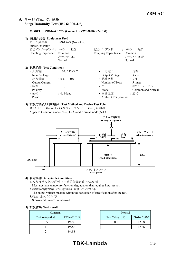# **5.** サージイミュニティ試験 **Surge Immunity Test (IEC61000-4-5)**

#### **MODEL : ZBM-AC162/S (Connect to ZWS300RC-24/BM)**

#### **(1)** 使用計測器 **Equipment Used**

サージ発生器 : LSS-15AX (Noiseken) Surge Generator 結合インピーダンス : コモン 12Ω 結合コンデンサ : コモン 9μF Coupling Impedance Common Coupling Capacitance Common  $/$  $\rightarrow$   $\sim$   $\gamma$  $\rightarrow$   $\sim$   $\gamma$  $\sim$   $\gamma$  $\sim$   $\gamma$  $\sim$   $\gamma$  $\sim$   $\gamma$  $\sim$   $\gamma$  $\sim$   $\gamma$  $\sim$   $\gamma$ 

|  | (2) 試験条件 Test Conditions |
|--|--------------------------|
|  |                          |

| • ヘ刀竜圧                | : $100, 230 \text{VAC}$ | • 出刀龍圧                     |                 |
|-----------------------|-------------------------|----------------------------|-----------------|
| Input Voltage         |                         | Output Voltage             | Rated           |
| • 出力電流                | $: 0\%$ , 100%          | • 試験回数                     | : 5回            |
| <b>Output Current</b> |                         | Number of Tests            | 5 time          |
| • 極性                  | $+$ , $-$               | • モード                      | : コモン           |
| Polarity              |                         | Mode                       | Comr            |
| • 位相                  | $: 0, 90$ deg           | • 周囲温度                     | $: 25^{\circ}C$ |
| Phase                 |                         | <b>Ambient Temperature</b> |                 |

|                       |                                 |                            | $\sqrt{2}$ $\sqrt{2}$ |
|-----------------------|---------------------------------|----------------------------|-----------------------|
|                       | Normal                          |                            | Normal                |
| 試験条件 Test Conditions  |                                 |                            |                       |
|                       | • 入力電圧             : 100、230VAC | • 出力電圧                     | : 定格                  |
| Input Voltage         |                                 | Output Voltage             | Rated                 |
| • 出力電流                | $: 0\%$ , 100%                  | • 試験回数                     | : 5回                  |
| <b>Output Current</b> |                                 | Number of Tests            | 5 times               |
| • 極性                  | $: +$ , $-$                     | ・モード                       | : コモン、ノーマル            |
| Polarity              |                                 | Mode                       | Common and Normal     |
| ・位相                   | $: 0, 90$ deg                   | • 周囲温度                     | $: 25^{\circ}C$       |
| Phase                 |                                 | <b>Ambient Temperature</b> |                       |

#### **(3)** 試験方法及び印加箇所 **Test Method and Device Test Point**

コモンモード (N- + 、L- +) 及びノーマルモード (N-L) に印加 Apply to Common mode (N- $\frac{1}{2}$ , L- $\frac{1}{2}$ ) and Normal mode (N-L).



#### **(4)** 判定条件 **Acceptable Conditions**

- 1.入力再投入を必要とする一時的な機能低下のない事
- Must not have temporary function degradation that requires input restart.
- 2.試験後の出力電圧は初期値から変動していない事
- The output voltage must be within the regulation of specification after the test. 3.発煙・発火のない事
- Smoke and fire are not allowed.

#### **(5)** 試験結果 **Test Result**

| Common            |               | Normal            |
|-------------------|---------------|-------------------|
| Test Voltage (kV) | $ZBM-ACl62/S$ | Test Voltage (kV) |
| 0.5               | <b>PASS</b>   |                   |
|                   | <b>PASS</b>   |                   |
|                   | <b>PASS</b>   |                   |

|             | Normal            |               |
|-------------|-------------------|---------------|
| ZBM-AC162/S | Test Voltage (kV) | $ZBM-ACl62/S$ |
| <b>PASS</b> | 'ነ ና              | <b>PASS</b>   |
| <b>PASS</b> |                   | <b>PASS</b>   |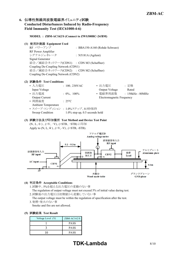# **6.** 伝導性無線周波数電磁界イミュニティ試験 **Conducted Disturbances Induced by Radio-Frequency Field Immunity Test (IEC61000-4-6)**

#### **MODEL : ZBM-AC162/S (Connect to ZWS300RC-24/BM)**

#### **(1)** 使用計測器 **Equipment Used**

RF パワーアンプ : BBA150-A160 (Rohde Schwarz) RF Power Amplifier シグナルジェネレータ : N5181A (Agilent) Signal Generator 結合/減結合ネットワーク(CDN1) : CDN M3 (Schaffner) Coupling De-Coupling Network (CDN1) 結合/減結合ネットワーク(CDN2) : CDN M2 (Schaffner) Coupling De-Coupling Network (CDN2)

#### **(2)** 試験条件 **Test Conditions**

| • 入力電圧                     | $: 100, 230$ VAC                  | • 出力電圧                    | :定格                |
|----------------------------|-----------------------------------|---------------------------|--------------------|
| Input Voltage              |                                   | Output Voltage            | Rated              |
| • 出力電流                     | $: 0\%$ , 100%                    | • 電磁界周波数                  | $: 150kHz - 80MHz$ |
| <b>Output Current</b>      |                                   | Electromagnetic Frequency |                    |
| • 周囲温度                     | $: 25^{\circ}$ C                  |                           |                    |
| <b>Ambient Temperature</b> |                                   |                           |                    |
|                            | • スイープ・コンディション : 1.0%ステップ、0.5秒保持  |                           |                    |
| Sweep Condition            | $1.0\%$ step up, 0.5 seconds hold |                           |                    |

#### **(3)** 試験方法及び印加箇所 **Test Method and Device Test Point**

(N、L、÷)、(+V、-V)、(+STB、-STB)に印加 Apply to  $(N, L, \frac{1}{\epsilon})$ ,  $(+V, -V)$ ,  $(+STB, -STB)$ .



#### **(4)** 判定条件 **Acceptable Conditions**

- 1.試験中、5%を超える出力電圧の変動のない事
- The regulation of output voltage must not exceed 5% of initial value during test. 2.試験後の出力電圧は初期値から変動していない事
- The output voltage must be within the regulation of specification after the test. 3.発煙・発火のない事
- Smoke and fire are not allowed.

|  | (5) 試験結果 Test Result |  |  |
|--|----------------------|--|--|
|--|----------------------|--|--|

| Voltage Level (V) | $ZBM-ACl62/S$ |
|-------------------|---------------|
|                   | <b>PASS</b>   |
|                   | <b>PASS</b>   |
|                   | <b>PASS</b>   |

# **TDK-Lambda** 8/10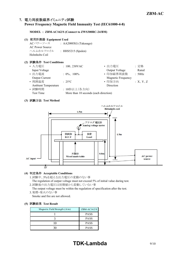# **7.** 電力周波数磁界イミュニティ試験

#### **Power Frequency Magnetic Field Immunity Test (IEC61000-4-8)**

#### **MODEL : ZBM-AC162/S (Connect to ZWS300RC-24/BM)**

#### **(1)** 使用計測器 **Equipment Used**

ACパワーソース : AA2000XG (Takasago) AC Power Source ヘルムホルツコイル : HHS5215 (Spulen) Helmholts Coil

### **(2)** 試験条件 **Test Conditions**

| • 入力電圧                     | $: 100, 230$ VAC                      | • 出力電圧             | : 定格     |
|----------------------------|---------------------------------------|--------------------|----------|
| Input Voltage              |                                       | Output Voltage     | Rated    |
| • 出力電流                     | $: 0\%$ , 100%                        | • 印加磁界周波数          | : 50Hz   |
| Output Current             |                                       | Magnetic Frequency |          |
| • 周囲温度                     | $: 25^{\circ}$ C                      | • 印加方向             | :X, Y, Z |
| <b>Ambient Temperature</b> |                                       | Direction          |          |
| • 試験時間                     | : 10秒以上(各方向)                          |                    |          |
| Test Time                  | More than 10 seconds (each direction) |                    |          |

#### **(3)** 試験方法 **Test Method**



#### **(4)** 判定条件 **Acceptable Conditions**

1.試験中、5%を超える出力電圧の変動のない事

The regulation of output voltage must not exceed 5% of initial value during test. 2.試験後の出力電圧は初期値から変動していない事

- The output voltage must be within the regulation of specification after the test.
- 3.発煙・発火のない事 Smoke and fire are not allowed.

#### **(5)** 試験結果 **Test Result**

| Magnetic Field Strength $(A/m)$ | ZBM-AC162/S |
|---------------------------------|-------------|
|                                 | <b>PASS</b> |
|                                 | <b>PASS</b> |
|                                 | <b>PASS</b> |
|                                 | <b>PASS</b> |

# **TDK-Lambda** 9/10